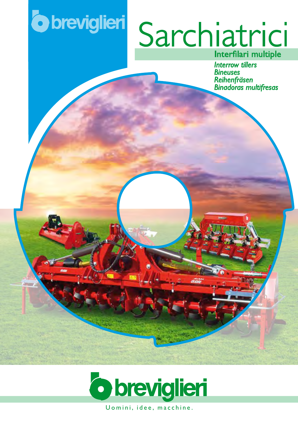## **o** breviglieri

# Sarchiatrici

**Interrow tillers Bineuses** 



Uomini, idee, macchine.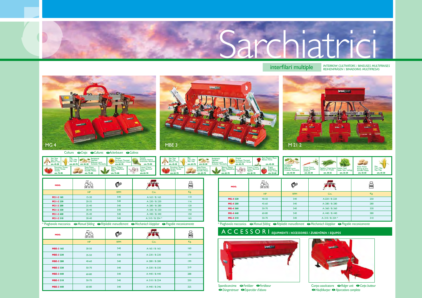

### **interfilari multiple** REIHENFRÄSEN / BINADORAS / BINEUSES MULTIFRAISES



Colture <sup>G</sup>Crops GCultures OAckerbauen GCultivos

| MOD.                  | HP-CV-PS  | æ          |                   | KG  |
|-----------------------|-----------|------------|-------------------|-----|
|                       | <b>HP</b> | <b>RPM</b> | $Cm$ .            | Kg. |
| M21-2165              | $15 - 30$ | 540        | A:165 / B:165     | 110 |
| M21-2 230             | $20 - 35$ | 540        | A: 230 / B: 230   | 116 |
| M21-2 280             | 25-40     | 540        | A: 280 / B: 280   | 130 |
| M21-2330              | $30 - 40$ | 540        | A: 330 / B: 330   | 140 |
| M <sub>2</sub> 1-2440 | $35 - 40$ | 540        | A: 440 / B: 440   | 150 |
| M21-2310              | $30-40$   | 540        | A: 310 / B: 254 * | 165 |

\* Pieghevole meccanica 
mechanisch klappbar 
mechanisch klappbar 
mechanisch klappbar 
mechanisch klappbar 
mechanisch klappbar 
mechanisch klappbar 
mechanisch klappbar 
mechanisch klappbar 
mechanisch klappbar 
mechanisc

| MOD.     | HP-CV-PS  | C          |                   | KG  |
|----------|-----------|------------|-------------------|-----|
|          | <b>HP</b> | <b>RPM</b> | $Cm$ .            | Kg. |
| MG-4 220 | 40-50     | 540        | A:220 / B: 220    | 250 |
| MG-4 280 | 45-60     | 540        | A: 280 / B: 280   | 280 |
| MG-4 360 | 50-70     | 540        | A: 360 / B: 360   | 330 |
| MG-4 440 | 60-80     | 540        | A: 440 / B: 440   | 380 |
| MG-4310  | 50-70     | 540        | A: 310 / B: 254 * | 310 |

**Example 3 For Allefons Corpo assolcatore Example 2 Corps butteur Corps butteur G** Gorps butteur  *Häufelkorper Aporcadora completa*

| Soia I<br>$e/$ Soja<br>$45 - 50$                             | Mais / Maiz<br><b>Exercise of Section AS-50</b><br><b>CM. 65-70 cm. 45-50</b> Zuckeübe / Remolacha | Carcioro<br>Artischocke / Alcachofa<br>cm. 75-90<br>cm. 65-70                                   | Soia / Soya<br>Soja / Soja<br>Bohone / Soja<br>cm. 45-50 | cm. 65-70 cm. 45-50                                                                                          | Barbabietola<br>Betterave a sucre                      | Sonnenblumen / Girasol<br>cm. 65-70<br>$\sim$ | cm. 45-50                                  |                                                                     |                                                               |                                      |                                       |                          |
|--------------------------------------------------------------|----------------------------------------------------------------------------------------------------|-------------------------------------------------------------------------------------------------|----------------------------------------------------------|--------------------------------------------------------------------------------------------------------------|--------------------------------------------------------|-----------------------------------------------|--------------------------------------------|---------------------------------------------------------------------|---------------------------------------------------------------|--------------------------------------|---------------------------------------|--------------------------|
| Pomodoro / Tomato<br>Tomate / Tomate<br>Tomates<br>cm. 75-90 | Patata /Potato<br>Pomme de terre<br>Kartoffel / Patatas<br>cm. 75-80                               | Tabacco / Tobacco<br>Tabac / Tabakpflanze<br>Coton / Baumw<br>Algodón<br>cm. 75-80<br>cm. 65-70 | cm. 65-70                                                | Patata /Potato<br>Pomme de terre<br>Kartoffel / Patatas<br>Pomodoro / Tomato<br>Tomate / Tomate<br>cm. 65-70 | Tabacco / Tobacco<br>Tabac / Tabakpflanze<br>cm. 65-70 | Coton / Baumwu.<br>121.78<br>cm. 65-70        | Strawberry<br>Fraise / Fresas<br>cm. 55-60 | Sugarbeet<br>Betterave á sucre<br>Zuckeübe / Remolacha<br>cm. 45-50 | Carota / Carrot<br>Carote / Karrote<br>Zanahoria<br>cm. 25-30 | Haricot vert / Frijoles<br>cm. 30-35 | Salade / Salat / Lechuga<br>cm. 25-30 | Pomme de te<br>cm. 45-50 |

| Soia / Sova<br>Soia / Soia<br><b>Bohone</b> / Soia<br>cm. 45-50                        | <b>Barbabietola</b><br>Corn / Mais<br>Sugarbeet<br>Mais / Maiz<br>Betterave à sucre<br>cm. 65-70<br>cm. 45-50 | Girasole<br>Sun flower / Tournesal<br>Sonnenblumen / Girasol<br>Zuckeübe / Remolacha<br>cm. 65-70 | Carciofo<br>Artichoke / Artichut<br>Artischocke / Alcachofa<br>cm. 75-90 | Soia / Sova<br>Soia / Soia<br><b>Bohone / Soia</b><br>cm. 45-50     | Mais<br>Corn / Mais<br>Mais / Maiz<br>cm. 45-50<br>cm. 65-70       |
|----------------------------------------------------------------------------------------|---------------------------------------------------------------------------------------------------------------|---------------------------------------------------------------------------------------------------|--------------------------------------------------------------------------|---------------------------------------------------------------------|--------------------------------------------------------------------|
| Pomodoro / Tomato<br>Tomate / Tomate<br><b>START OF</b><br><b>Iomates</b><br>cm. 75-90 | Patata /Potato<br>Pomme de terre<br>Kartoffel / Patatas<br>cm. 75-80                                          | Tabacco / Tobacco<br>Tabac / Tabakoflanze<br>lobaco<br>cm. 75-80                                  | Cotone / Cotton<br>Coton / Baumwoll<br>Algodón<br>cm. 65-70              | Pomodoro / Tomato<br>Tomate / Tomate<br><b>Iomates</b><br>cm. 65-70 | Patata /Potato<br>Pomme de terre<br>Kartoffel / Patat<br>cm. 65-70 |



brevittimi







Spandiconcime*Fertilizer Fertiliseur Düngerstreuer Esparcidor d'abono* D E D E

| <b>Barbabietola</b>            | Carota / Carrot   |
|--------------------------------|-------------------|
| Sugarbeet<br>Betterave á sucre | Carote / Karroten |
| Zuckeübe / Remolacha           | Zanahoria         |
| cm. 45-50                      | cm. 25-30         |
|                                |                   |





| MOD.             | HP-CV-PS  |            |                 | KG  |
|------------------|-----------|------------|-----------------|-----|
|                  | HP        | <b>RPM</b> | Cm.             | Kg. |
| MBE-3 165        | $30 - 50$ | 540        | A:165 / B:165   | 160 |
| MBE-3 230        | 35-50     | 540        | A: 230 / B: 230 | 179 |
| <b>MBE-3 280</b> | $40 - 60$ | 540        | A: 280 / B: 280 | 199 |
| <b>MBE-3 330</b> | 50-70     | 540        | A: 330 / B: 330 | 219 |
| <b>MBE-3 440</b> | 60-80     | 540        | A: 440 / B: 440 | 288 |
| <b>MBE-3 310</b> | 50-70     | 540        | A: 310 / B: 254 | 250 |
| <b>MBE-3 440</b> | 60-80     | 540        | A: 440 / B: 346 | 325 |